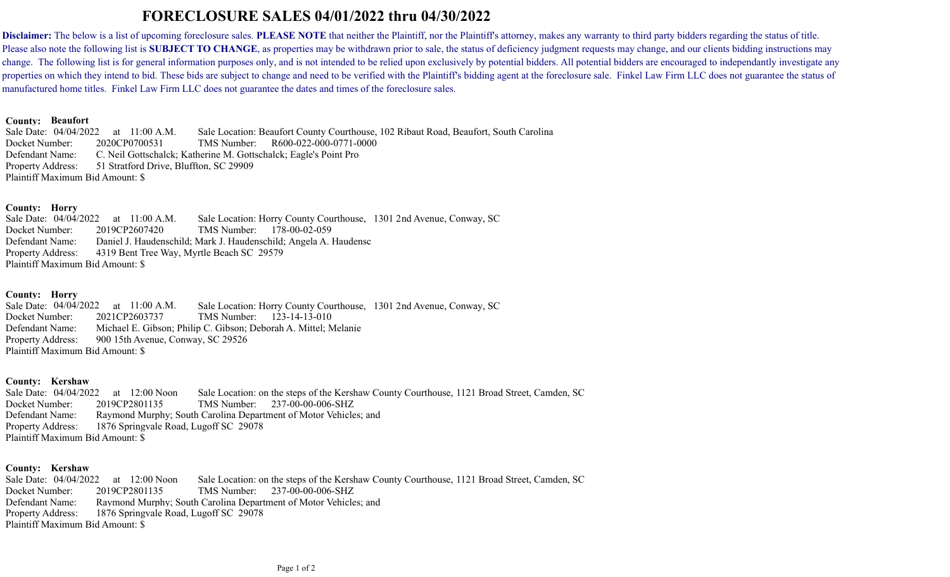# **FORECLOSURE SALES 04/01/2022 thru 04/30/2022**

Disclaimer: The below is a list of upcoming foreclosure sales. PLEASE NOTE that neither the Plaintiff, nor the Plaintiff's attorney, makes any warranty to third party bidders regarding the status of title. Please also note the following list is **SUBJECT TO CHANGE**, as properties may be withdrawn prior to sale, the status of deficiency judgment requests may change, and our clients bidding instructions may change. The following list is for general information purposes only, and is not intended to be relied upon exclusively by potential bidders. All potential bidders are encouraged to independantly investigate any properties on which they intend to bid. These bids are subject to change and need to be verified with the Plaintiff's bidding agent at the foreclosure sale. Finkel Law Firm LLC does not guarantee the status of manufactured home titles. Finkel Law Firm LLC does not guarantee the dates and times of the foreclosure sales.

#### **Beaufort County:**

Defendant Name: R600-022-000-0771-0000 51 Stratford Drive, Bluffton, SC 29909 Sale Date: 04/04/2022 11:00 A.M. Docket Number: 2020CP0700531 TMS Number: Sale Location: Beaufort County Courthouse, 102 Ribaut Road, Beaufort, South Carolina Property Address: Plaintiff Maximum Bid Amount: \$ C. Neil Gottschalck; Katherine M. Gottschalck; Eagle's Point Pro

### **Horry County:**

Defendant Name: TMS Number: 178-00-02-059 4319 Bent Tree Way, Myrtle Beach SC 29579 Sale Date: 04/04/2022 at  $11:00$  A.M. Docket Number:  $2019CP2607420$ Sale Location: Horry County Courthouse, 1301 2nd Avenue, Conway, SC Property Address: Plaintiff Maximum Bid Amount: \$ Daniel J. Haudenschild; Mark J. Haudenschild; Angela A. Haudensc

# **Horry County:**

Defendant Name: TMS Number: 123-14-13-010 900 15th Avenue, Conway, SC 29526 04/04/2022 11:00 A.M. Docket Number:  $2021CP2603737$ Sale Location: Horry County Courthouse, 1301 2nd Avenue, Conway, SC Property Address: Plaintiff Maximum Bid Amount: \$ Michael E. Gibson; Philip C. Gibson; Deborah A. Mittel; Melanie

# **Kershaw County:**

Defendant Name: 237-00-00-006-SHZ 1876 Springvale Road, Lugoff SC 29078 Sale Date: 04/04/2022 12:00 Noon Docket Number: 2019CP2801135 Sale Location: on the steps of the Kershaw County Courthouse, 1121 Broad Street, Camden, SC Property Address: Plaintiff Maximum Bid Amount: \$ Raymond Murphy; South Carolina Department of Motor Vehicles; and

# **Kershaw County:**

Defendant Name: 237-00-00-006-SHZ 1876 Springvale Road, Lugoff SC 29078 Sale Date: 04/04/2022 12:00 Noon Docket Number: 2019CP2801135 TMS Number: Sale Location: on the steps of the Kershaw County Courthouse, 1121 Broad Street, Camden, SC Property Address: Plaintiff Maximum Bid Amount: \$ Raymond Murphy; South Carolina Department of Motor Vehicles; and